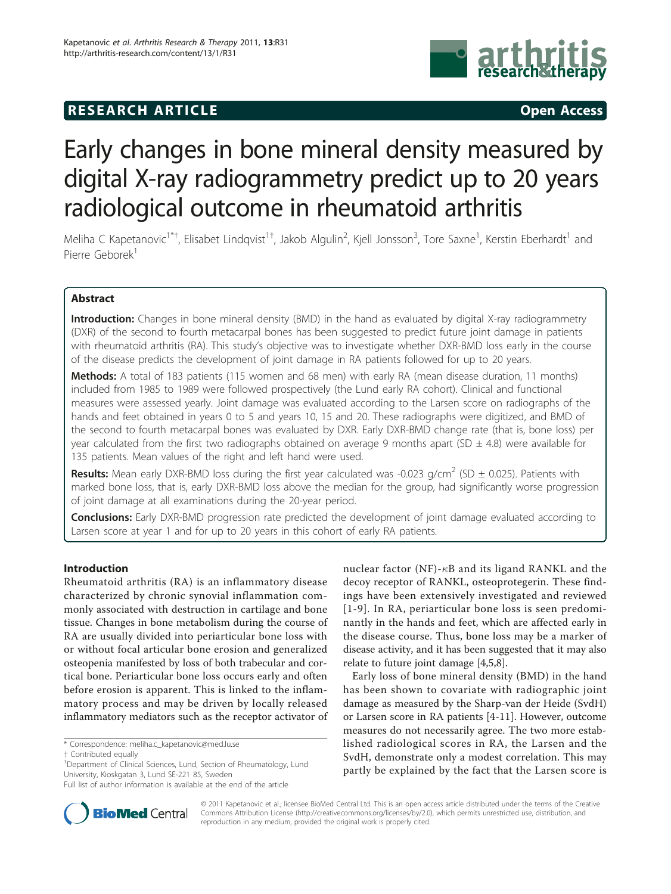# **RESEARCH ARTICLE Example 2014 CONSIDERING CONSIDERING CONSIDERING CONSIDERING CONSIDERING CONSIDERING CONSIDERING CONSIDERING CONSIDERING CONSIDERING CONSIDERING CONSIDERING CONSIDERING CONSIDERING CONSIDERING CONSIDE**



# Early changes in bone mineral density measured by digital X-ray radiogrammetry predict up to 20 years radiological outcome in rheumatoid arthritis

Meliha C Kapetanovic<sup>1\*†</sup>, Elisabet Lindqvist<sup>1†</sup>, Jakob Algulin<sup>2</sup>, Kjell Jonsson<sup>3</sup>, Tore Saxne<sup>1</sup>, Kerstin Eberhardt<sup>1</sup> and Pierre Geborek<sup>1</sup>

# Abstract

**Introduction:** Changes in bone mineral density (BMD) in the hand as evaluated by digital X-ray radiogrammetry (DXR) of the second to fourth metacarpal bones has been suggested to predict future joint damage in patients with rheumatoid arthritis (RA). This study's objective was to investigate whether DXR-BMD loss early in the course of the disease predicts the development of joint damage in RA patients followed for up to 20 years.

Methods: A total of 183 patients (115 women and 68 men) with early RA (mean disease duration, 11 months) included from 1985 to 1989 were followed prospectively (the Lund early RA cohort). Clinical and functional measures were assessed yearly. Joint damage was evaluated according to the Larsen score on radiographs of the hands and feet obtained in years 0 to 5 and years 10, 15 and 20. These radiographs were digitized, and BMD of the second to fourth metacarpal bones was evaluated by DXR. Early DXR-BMD change rate (that is, bone loss) per year calculated from the first two radiographs obtained on average 9 months apart (SD  $\pm$  4.8) were available for 135 patients. Mean values of the right and left hand were used.

**Results:** Mean early DXR-BMD loss during the first year calculated was -0.023 g/cm<sup>2</sup> (SD  $\pm$  0.025). Patients with marked bone loss, that is, early DXR-BMD loss above the median for the group, had significantly worse progression of joint damage at all examinations during the 20-year period.

**Conclusions:** Early DXR-BMD progression rate predicted the development of joint damage evaluated according to Larsen score at year 1 and for up to 20 years in this cohort of early RA patients.

# Introduction

Rheumatoid arthritis (RA) is an inflammatory disease characterized by chronic synovial inflammation commonly associated with destruction in cartilage and bone tissue. Changes in bone metabolism during the course of RA are usually divided into periarticular bone loss with or without focal articular bone erosion and generalized osteopenia manifested by loss of both trabecular and cortical bone. Periarticular bone loss occurs early and often before erosion is apparent. This is linked to the inflammatory process and may be driven by locally released inflammatory mediators such as the receptor activator of

\* Correspondence: [meliha.c\\_kapetanovic@med.lu.se](mailto:meliha.c_kapetanovic@med.lu.se)

nuclear factor (NF)- $\kappa$ B and its ligand RANKL and the decoy receptor of RANKL, osteoprotegerin. These findings have been extensively investigated and reviewed [[1-9\]](#page-7-0). In RA, periarticular bone loss is seen predominantly in the hands and feet, which are affected early in the disease course. Thus, bone loss may be a marker of disease activity, and it has been suggested that it may also relate to future joint damage [[4](#page-7-0),[5](#page-7-0),[8](#page-7-0)].

Early loss of bone mineral density (BMD) in the hand has been shown to covariate with radiographic joint damage as measured by the Sharp-van der Heide (SvdH) or Larsen score in RA patients [\[4-11](#page-7-0)]. However, outcome measures do not necessarily agree. The two more established radiological scores in RA, the Larsen and the SvdH, demonstrate only a modest correlation. This may partly be explained by the fact that the Larsen score is



© 2011 Kapetanovic et al.; licensee BioMed Central Ltd. This is an open access article distributed under the terms of the Creative Commons Attribution License [\(http://creativecommons.org/licenses/by/2.0](http://creativecommons.org/licenses/by/2.0)), which permits unrestricted use, distribution, and reproduction in any medium, provided the original work is properly cited.

<sup>†</sup> Contributed equally <sup>1</sup>

<sup>&</sup>lt;sup>1</sup>Department of Clinical Sciences, Lund, Section of Rheumatology, Lund University, Kioskgatan 3, Lund SE-221 85, Sweden

Full list of author information is available at the end of the article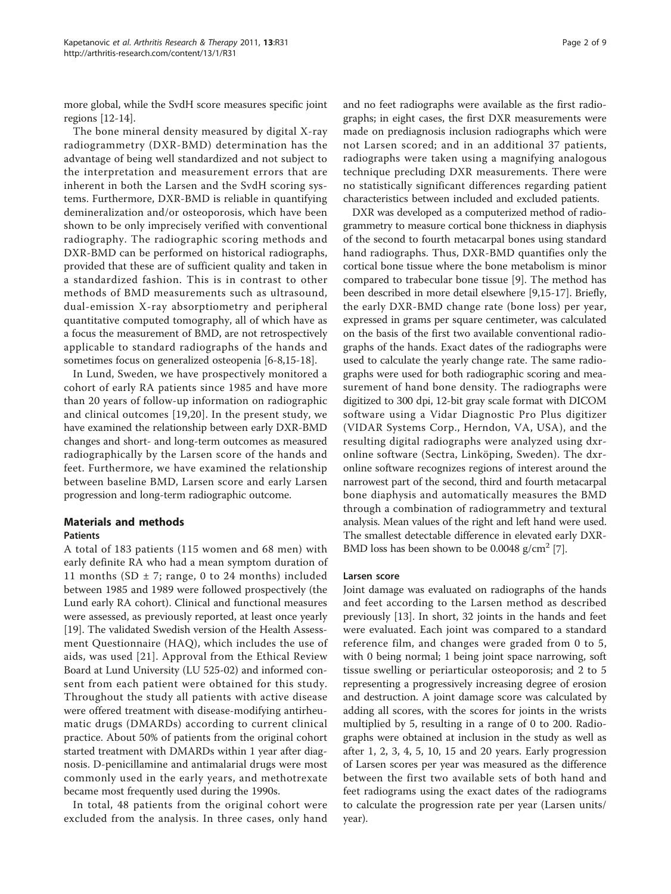more global, while the SvdH score measures specific joint regions [\[12-14](#page-7-0)].

The bone mineral density measured by digital X-ray radiogrammetry (DXR-BMD) determination has the advantage of being well standardized and not subject to the interpretation and measurement errors that are inherent in both the Larsen and the SvdH scoring systems. Furthermore, DXR-BMD is reliable in quantifying demineralization and/or osteoporosis, which have been shown to be only imprecisely verified with conventional radiography. The radiographic scoring methods and DXR-BMD can be performed on historical radiographs, provided that these are of sufficient quality and taken in a standardized fashion. This is in contrast to other methods of BMD measurements such as ultrasound, dual-emission X-ray absorptiometry and peripheral quantitative computed tomography, all of which have as a focus the measurement of BMD, are not retrospectively applicable to standard radiographs of the hands and sometimes focus on generalized osteopenia [[6-8,15-](#page-7-0)[18](#page-8-0)].

In Lund, Sweden, we have prospectively monitored a cohort of early RA patients since 1985 and have more than 20 years of follow-up information on radiographic and clinical outcomes [\[19,20](#page-8-0)]. In the present study, we have examined the relationship between early DXR-BMD changes and short- and long-term outcomes as measured radiographically by the Larsen score of the hands and feet. Furthermore, we have examined the relationship between baseline BMD, Larsen score and early Larsen progression and long-term radiographic outcome.

## Materials and methods

#### Patients

A total of 183 patients (115 women and 68 men) with early definite RA who had a mean symptom duration of 11 months (SD  $\pm$  7; range, 0 to 24 months) included between 1985 and 1989 were followed prospectively (the Lund early RA cohort). Clinical and functional measures were assessed, as previously reported, at least once yearly [[19\]](#page-8-0). The validated Swedish version of the Health Assessment Questionnaire (HAQ), which includes the use of aids, was used [\[21\]](#page-8-0). Approval from the Ethical Review Board at Lund University (LU 525-02) and informed consent from each patient were obtained for this study. Throughout the study all patients with active disease were offered treatment with disease-modifying antirheumatic drugs (DMARDs) according to current clinical practice. About 50% of patients from the original cohort started treatment with DMARDs within 1 year after diagnosis. D-penicillamine and antimalarial drugs were most commonly used in the early years, and methotrexate became most frequently used during the 1990s.

In total, 48 patients from the original cohort were excluded from the analysis. In three cases, only hand and no feet radiographs were available as the first radiographs; in eight cases, the first DXR measurements were made on prediagnosis inclusion radiographs which were not Larsen scored; and in an additional 37 patients, radiographs were taken using a magnifying analogous technique precluding DXR measurements. There were no statistically significant differences regarding patient characteristics between included and excluded patients.

DXR was developed as a computerized method of radiogrammetry to measure cortical bone thickness in diaphysis of the second to fourth metacarpal bones using standard hand radiographs. Thus, DXR-BMD quantifies only the cortical bone tissue where the bone metabolism is minor compared to trabecular bone tissue [[9\]](#page-7-0). The method has been described in more detail elsewhere [[9](#page-7-0),[15](#page-7-0)-[17](#page-8-0)]. Briefly, the early DXR-BMD change rate (bone loss) per year, expressed in grams per square centimeter, was calculated on the basis of the first two available conventional radiographs of the hands. Exact dates of the radiographs were used to calculate the yearly change rate. The same radiographs were used for both radiographic scoring and measurement of hand bone density. The radiographs were digitized to 300 dpi, 12-bit gray scale format with DICOM software using a Vidar Diagnostic Pro Plus digitizer (VIDAR Systems Corp., Herndon, VA, USA), and the resulting digital radiographs were analyzed using dxronline software (Sectra, Linköping, Sweden). The dxronline software recognizes regions of interest around the narrowest part of the second, third and fourth metacarpal bone diaphysis and automatically measures the BMD through a combination of radiogrammetry and textural analysis. Mean values of the right and left hand were used. The smallest detectable difference in elevated early DXR-BMD loss has been shown to be 0.0048  $g/cm^2$  [[7\]](#page-7-0).

#### Larsen score

Joint damage was evaluated on radiographs of the hands and feet according to the Larsen method as described previously [\[13\]](#page-7-0). In short, 32 joints in the hands and feet were evaluated. Each joint was compared to a standard reference film, and changes were graded from 0 to 5, with 0 being normal; 1 being joint space narrowing, soft tissue swelling or periarticular osteoporosis; and 2 to 5 representing a progressively increasing degree of erosion and destruction. A joint damage score was calculated by adding all scores, with the scores for joints in the wrists multiplied by 5, resulting in a range of 0 to 200. Radiographs were obtained at inclusion in the study as well as after 1, 2, 3, 4, 5, 10, 15 and 20 years. Early progression of Larsen scores per year was measured as the difference between the first two available sets of both hand and feet radiograms using the exact dates of the radiograms to calculate the progression rate per year (Larsen units/ year).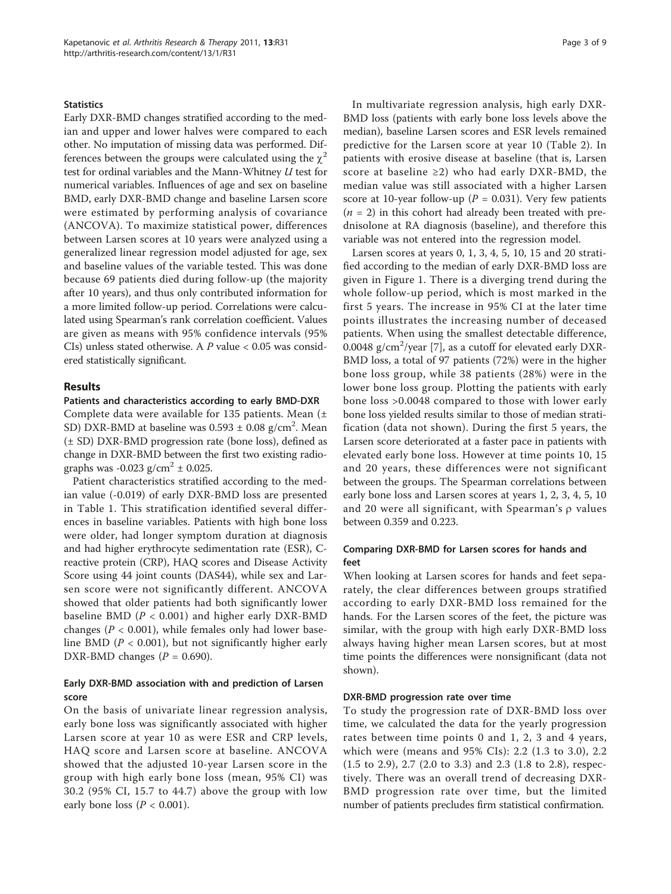#### **Statistics**

Early DXR-BMD changes stratified according to the median and upper and lower halves were compared to each other. No imputation of missing data was performed. Differences between the groups were calculated using the  $\chi^2$ test for ordinal variables and the Mann-Whitney U test for numerical variables. Influences of age and sex on baseline BMD, early DXR-BMD change and baseline Larsen score were estimated by performing analysis of covariance (ANCOVA). To maximize statistical power, differences between Larsen scores at 10 years were analyzed using a generalized linear regression model adjusted for age, sex and baseline values of the variable tested. This was done because 69 patients died during follow-up (the majority after 10 years), and thus only contributed information for a more limited follow-up period. Correlations were calculated using Spearman's rank correlation coefficient. Values are given as means with 95% confidence intervals (95% CIs) unless stated otherwise. A  $P$  value < 0.05 was considered statistically significant.

#### Results

#### Patients and characteristics according to early BMD-DXR

Complete data were available for 135 patients. Mean (± SD) DXR-BMD at baseline was  $0.593 \pm 0.08$  g/cm<sup>2</sup>. Mean (± SD) DXR-BMD progression rate (bone loss), defined as change in DXR-BMD between the first two existing radiographs was -0.023 g/cm<sup>2</sup>  $\pm$  0.025.

Patient characteristics stratified according to the median value (-0.019) of early DXR-BMD loss are presented in Table [1](#page-3-0). This stratification identified several differences in baseline variables. Patients with high bone loss were older, had longer symptom duration at diagnosis and had higher erythrocyte sedimentation rate (ESR), Creactive protein (CRP), HAQ scores and Disease Activity Score using 44 joint counts (DAS44), while sex and Larsen score were not significantly different. ANCOVA showed that older patients had both significantly lower baseline BMD ( $P < 0.001$ ) and higher early DXR-BMD changes ( $P < 0.001$ ), while females only had lower baseline BMD ( $P < 0.001$ ), but not significantly higher early DXR-BMD changes  $(P = 0.690)$ .

# Early DXR-BMD association with and prediction of Larsen score

On the basis of univariate linear regression analysis, early bone loss was significantly associated with higher Larsen score at year 10 as were ESR and CRP levels, HAQ score and Larsen score at baseline. ANCOVA showed that the adjusted 10-year Larsen score in the group with high early bone loss (mean, 95% CI) was 30.2 (95% CI, 15.7 to 44.7) above the group with low early bone loss ( $P < 0.001$ ).

In multivariate regression analysis, high early DXR-BMD loss (patients with early bone loss levels above the median), baseline Larsen scores and ESR levels remained predictive for the Larsen score at year 10 (Table [2\)](#page-3-0). In patients with erosive disease at baseline (that is, Larsen score at baseline  $\geq$ 2) who had early DXR-BMD, the median value was still associated with a higher Larsen score at 10-year follow-up ( $P = 0.031$ ). Very few patients  $(n = 2)$  in this cohort had already been treated with prednisolone at RA diagnosis (baseline), and therefore this variable was not entered into the regression model.

Larsen scores at years 0, 1, 3, 4, 5, 10, 15 and 20 stratified according to the median of early DXR-BMD loss are given in Figure [1](#page-4-0). There is a diverging trend during the whole follow-up period, which is most marked in the first 5 years. The increase in 95% CI at the later time points illustrates the increasing number of deceased patients. When using the smallest detectable difference, 0.0048  $g/cm<sup>2</sup>/year$  [\[7\]](#page-7-0), as a cutoff for elevated early DXR-BMD loss, a total of 97 patients (72%) were in the higher bone loss group, while 38 patients (28%) were in the lower bone loss group. Plotting the patients with early bone loss >0.0048 compared to those with lower early bone loss yielded results similar to those of median stratification (data not shown). During the first 5 years, the Larsen score deteriorated at a faster pace in patients with elevated early bone loss. However at time points 10, 15 and 20 years, these differences were not significant between the groups. The Spearman correlations between early bone loss and Larsen scores at years 1, 2, 3, 4, 5, 10 and 20 were all significant, with Spearman's  $\rho$  values between 0.359 and 0.223.

# Comparing DXR-BMD for Larsen scores for hands and feet

When looking at Larsen scores for hands and feet separately, the clear differences between groups stratified according to early DXR-BMD loss remained for the hands. For the Larsen scores of the feet, the picture was similar, with the group with high early DXR-BMD loss always having higher mean Larsen scores, but at most time points the differences were nonsignificant (data not shown).

#### DXR-BMD progression rate over time

To study the progression rate of DXR-BMD loss over time, we calculated the data for the yearly progression rates between time points 0 and 1, 2, 3 and 4 years, which were (means and 95% CIs): 2.2 (1.3 to 3.0), 2.2 (1.5 to 2.9), 2.7 (2.0 to 3.3) and 2.3 (1.8 to 2.8), respectively. There was an overall trend of decreasing DXR-BMD progression rate over time, but the limited number of patients precludes firm statistical confirmation.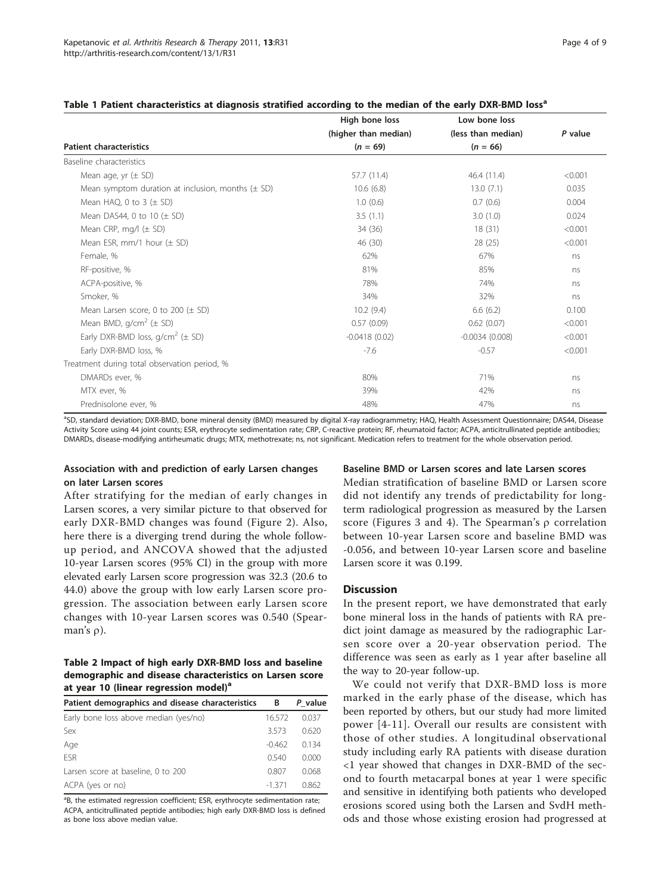<span id="page-3-0"></span>

| Table 1 Patient characteristics at diagnosis stratified according to the median of the early DXR-BMD loss <sup>a</sup> |  |  |  |
|------------------------------------------------------------------------------------------------------------------------|--|--|--|
|------------------------------------------------------------------------------------------------------------------------|--|--|--|

|                                                       | High bone loss<br>Low bone loss |                    |         |
|-------------------------------------------------------|---------------------------------|--------------------|---------|
|                                                       | (higher than median)            | (less than median) | P value |
| <b>Patient characteristics</b>                        | $(n = 69)$                      | $(n = 66)$         |         |
| Baseline characteristics                              |                                 |                    |         |
| Mean age, yr $(\pm$ SD)                               | 57.7 (11.4)                     | 46.4 (11.4)        | < 0.001 |
| Mean symptom duration at inclusion, months $(\pm$ SD) | 10.6(6.8)                       | 13.0(7.1)          | 0.035   |
| Mean HAQ, 0 to 3 $(\pm$ SD)                           | 1.0(0.6)                        | 0.7(0.6)           | 0.004   |
| Mean DAS44, 0 to 10 $(\pm$ SD)                        | 3.5(1.1)                        | 3.0(1.0)           | 0.024   |
| Mean CRP, mg/l $(\pm$ SD)                             | 34 (36)                         | 18(31)             | < 0.001 |
| Mean ESR, mm/1 hour $(\pm$ SD)                        | 46 (30)                         | 28 (25)            | < 0.001 |
| Female, %                                             | 62%                             | 67%                | ns      |
| RF-positive, %                                        | 81%                             | 85%                | ns      |
| ACPA-positive, %                                      | 78%                             | 74%                | ns      |
| Smoker, %                                             | 34%                             | 32%                | ns      |
| Mean Larsen score, 0 to 200 $(\pm$ SD)                | 10.2(9.4)                       | 6.6(6.2)           | 0.100   |
| Mean BMD, $q/cm^2$ ( $\pm$ SD)                        | 0.57(0.09)                      | 0.62(0.07)         | < 0.001 |
| Early DXR-BMD loss, $q/cm^2$ ( $\pm$ SD)              | $-0.0418(0.02)$                 | $-0.0034(0.008)$   | < 0.001 |
| Early DXR-BMD loss, %                                 | $-7.6$                          | $-0.57$            | < 0.001 |
| Treatment during total observation period, %          |                                 |                    |         |
| DMARDs ever, %                                        | 80%                             | 71%                | ns      |
| MTX ever, %                                           | 39%                             | 42%                | ns      |
| Prednisolone ever, %                                  | 48%                             | 47%                | ns      |

<sup>a</sup>SD, standard deviation; DXR-BMD, bone mineral density (BMD) measured by digital X-ray radiogrammetry; HAQ, Health Assessment Questionnaire; DAS44, Disease Activity Score using 44 joint counts; ESR, erythrocyte sedimentation rate; CRP, C-reactive protein; RF, rheumatoid factor; ACPA, anticitrullinated peptide antibodies; DMARDs, disease-modifying antirheumatic drugs; MTX, methotrexate; ns, not significant. Medication refers to treatment for the whole observation period.

#### Association with and prediction of early Larsen changes on later Larsen scores

After stratifying for the median of early changes in Larsen scores, a very similar picture to that observed for early DXR-BMD changes was found (Figure [2](#page-5-0)). Also, here there is a diverging trend during the whole followup period, and ANCOVA showed that the adjusted 10-year Larsen scores (95% CI) in the group with more elevated early Larsen score progression was 32.3 (20.6 to 44.0) above the group with low early Larsen score progression. The association between early Larsen score changes with 10-year Larsen scores was 0.540 (Spearman's  $\rho$ ).

#### Table 2 Impact of high early DXR-BMD loss and baseline demographic and disease characteristics on Larsen score at year 10 (linear regression model)<sup>a</sup>

| Patient demographics and disease characteristics |          | P value |
|--------------------------------------------------|----------|---------|
| Early bone loss above median (yes/no)            | 16.572   | 0.037   |
| Sex                                              | 3573     | 0620    |
| Age                                              | $-0.462$ | 0.134   |
| <b>FSR</b>                                       | 0,540    | 0.000   |
| Larsen score at baseline, 0 to 200               | 0.807    | 0.068   |
| ACPA (yes or no)                                 | -1371    | 0.862   |

<sup>a</sup>B, the estimated regression coefficient; ESR, erythrocyte sedimentation rate; ACPA, anticitrullinated peptide antibodies; high early DXR-BMD loss is defined as bone loss above median value.

# Baseline BMD or Larsen scores and late Larsen scores

Median stratification of baseline BMD or Larsen score did not identify any trends of predictability for longterm radiological progression as measured by the Larsen score (Figures [3](#page-6-0) and [4](#page-6-0)). The Spearman's  $\rho$  correlation between 10-year Larsen score and baseline BMD was -0.056, and between 10-year Larsen score and baseline Larsen score it was 0.199.

#### **Discussion**

In the present report, we have demonstrated that early bone mineral loss in the hands of patients with RA predict joint damage as measured by the radiographic Larsen score over a 20-year observation period. The difference was seen as early as 1 year after baseline all the way to 20-year follow-up.

We could not verify that DXR-BMD loss is more marked in the early phase of the disease, which has been reported by others, but our study had more limited power [[4-11](#page-7-0)]. Overall our results are consistent with those of other studies. A longitudinal observational study including early RA patients with disease duration <1 year showed that changes in DXR-BMD of the second to fourth metacarpal bones at year 1 were specific and sensitive in identifying both patients who developed erosions scored using both the Larsen and SvdH methods and those whose existing erosion had progressed at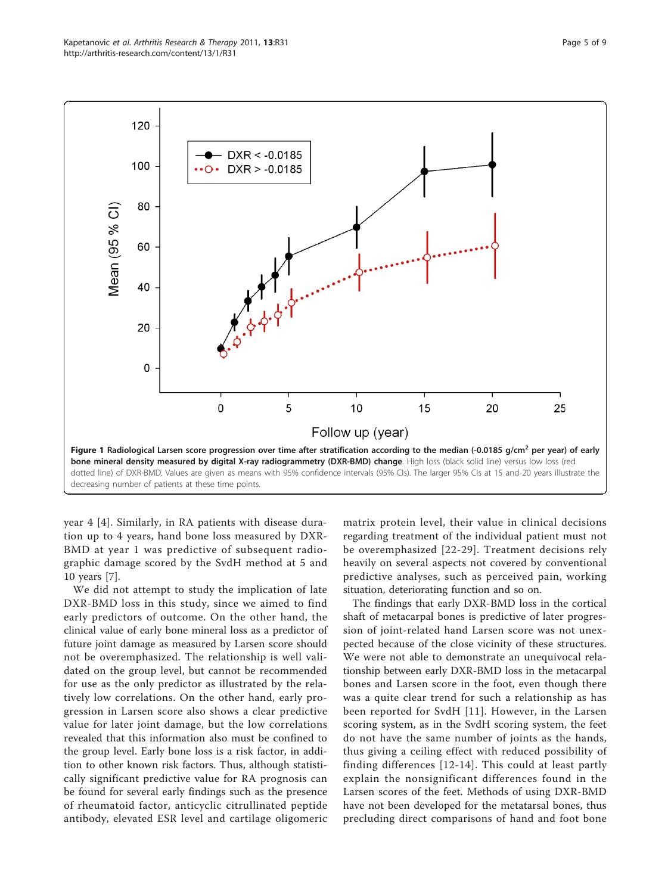<span id="page-4-0"></span>

year 4 [[4\]](#page-7-0). Similarly, in RA patients with disease duration up to 4 years, hand bone loss measured by DXR-BMD at year 1 was predictive of subsequent radiographic damage scored by the SvdH method at 5 and 10 years [[7\]](#page-7-0).

We did not attempt to study the implication of late DXR-BMD loss in this study, since we aimed to find early predictors of outcome. On the other hand, the clinical value of early bone mineral loss as a predictor of future joint damage as measured by Larsen score should not be overemphasized. The relationship is well validated on the group level, but cannot be recommended for use as the only predictor as illustrated by the relatively low correlations. On the other hand, early progression in Larsen score also shows a clear predictive value for later joint damage, but the low correlations revealed that this information also must be confined to the group level. Early bone loss is a risk factor, in addition to other known risk factors. Thus, although statistically significant predictive value for RA prognosis can be found for several early findings such as the presence of rheumatoid factor, anticyclic citrullinated peptide antibody, elevated ESR level and cartilage oligomeric

matrix protein level, their value in clinical decisions regarding treatment of the individual patient must not be overemphasized [[22-29\]](#page-8-0). Treatment decisions rely heavily on several aspects not covered by conventional predictive analyses, such as perceived pain, working situation, deteriorating function and so on.

The findings that early DXR-BMD loss in the cortical shaft of metacarpal bones is predictive of later progression of joint-related hand Larsen score was not unexpected because of the close vicinity of these structures. We were not able to demonstrate an unequivocal relationship between early DXR-BMD loss in the metacarpal bones and Larsen score in the foot, even though there was a quite clear trend for such a relationship as has been reported for SvdH [[11\]](#page-7-0). However, in the Larsen scoring system, as in the SvdH scoring system, the feet do not have the same number of joints as the hands, thus giving a ceiling effect with reduced possibility of finding differences [[12-14](#page-7-0)]. This could at least partly explain the nonsignificant differences found in the Larsen scores of the feet. Methods of using DXR-BMD have not been developed for the metatarsal bones, thus precluding direct comparisons of hand and foot bone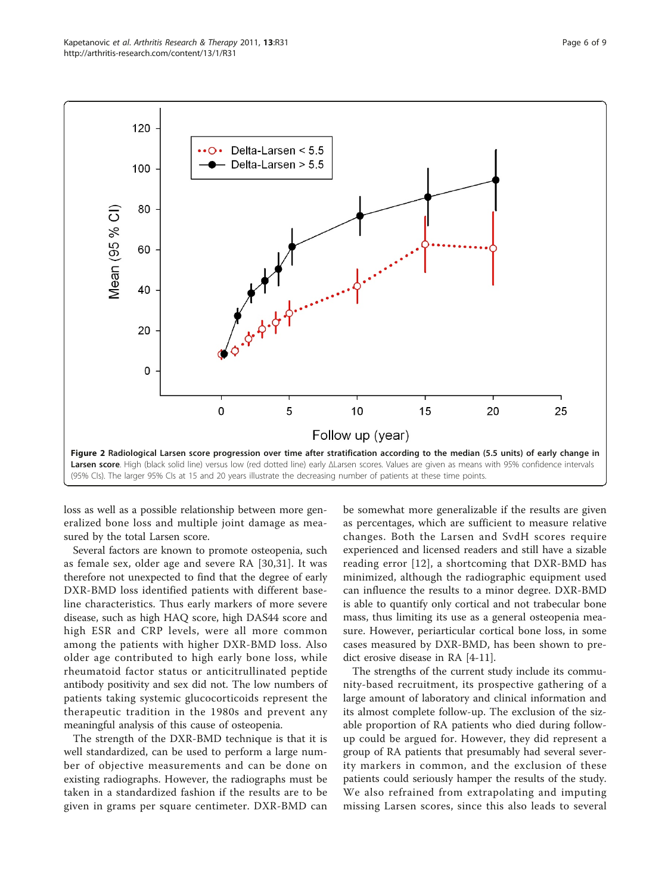<span id="page-5-0"></span>

loss as well as a possible relationship between more generalized bone loss and multiple joint damage as measured by the total Larsen score.

Several factors are known to promote osteopenia, such as female sex, older age and severe RA [[30,31](#page-8-0)]. It was therefore not unexpected to find that the degree of early DXR-BMD loss identified patients with different baseline characteristics. Thus early markers of more severe disease, such as high HAQ score, high DAS44 score and high ESR and CRP levels, were all more common among the patients with higher DXR-BMD loss. Also older age contributed to high early bone loss, while rheumatoid factor status or anticitrullinated peptide antibody positivity and sex did not. The low numbers of patients taking systemic glucocorticoids represent the therapeutic tradition in the 1980s and prevent any meaningful analysis of this cause of osteopenia.

The strength of the DXR-BMD technique is that it is well standardized, can be used to perform a large number of objective measurements and can be done on existing radiographs. However, the radiographs must be taken in a standardized fashion if the results are to be given in grams per square centimeter. DXR-BMD can be somewhat more generalizable if the results are given as percentages, which are sufficient to measure relative changes. Both the Larsen and SvdH scores require experienced and licensed readers and still have a sizable reading error [[12\]](#page-7-0), a shortcoming that DXR-BMD has minimized, although the radiographic equipment used can influence the results to a minor degree. DXR-BMD is able to quantify only cortical and not trabecular bone mass, thus limiting its use as a general osteopenia measure. However, periarticular cortical bone loss, in some cases measured by DXR-BMD, has been shown to predict erosive disease in RA [[4-11](#page-7-0)].

The strengths of the current study include its community-based recruitment, its prospective gathering of a large amount of laboratory and clinical information and its almost complete follow-up. The exclusion of the sizable proportion of RA patients who died during followup could be argued for. However, they did represent a group of RA patients that presumably had several severity markers in common, and the exclusion of these patients could seriously hamper the results of the study. We also refrained from extrapolating and imputing missing Larsen scores, since this also leads to several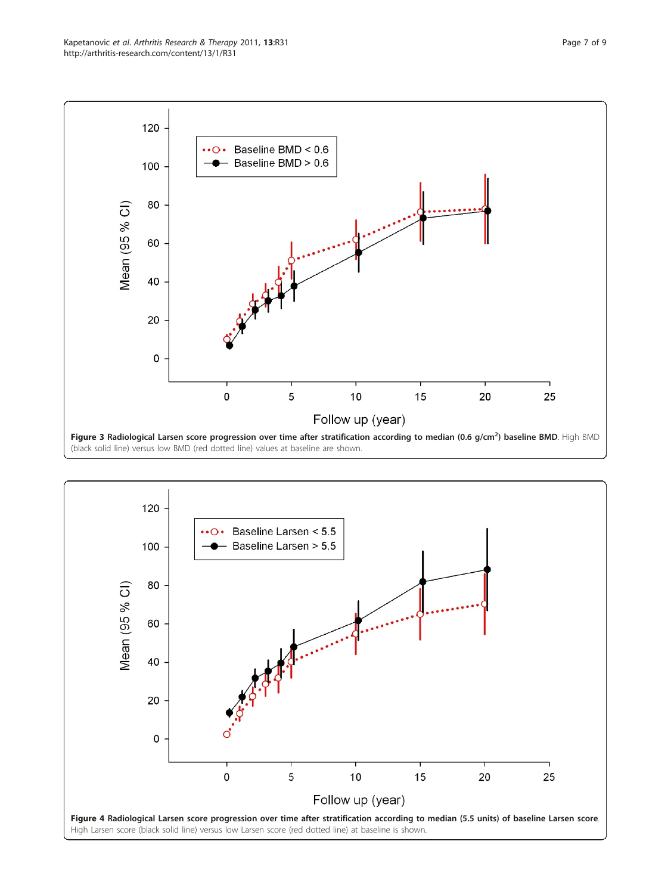<span id="page-6-0"></span>

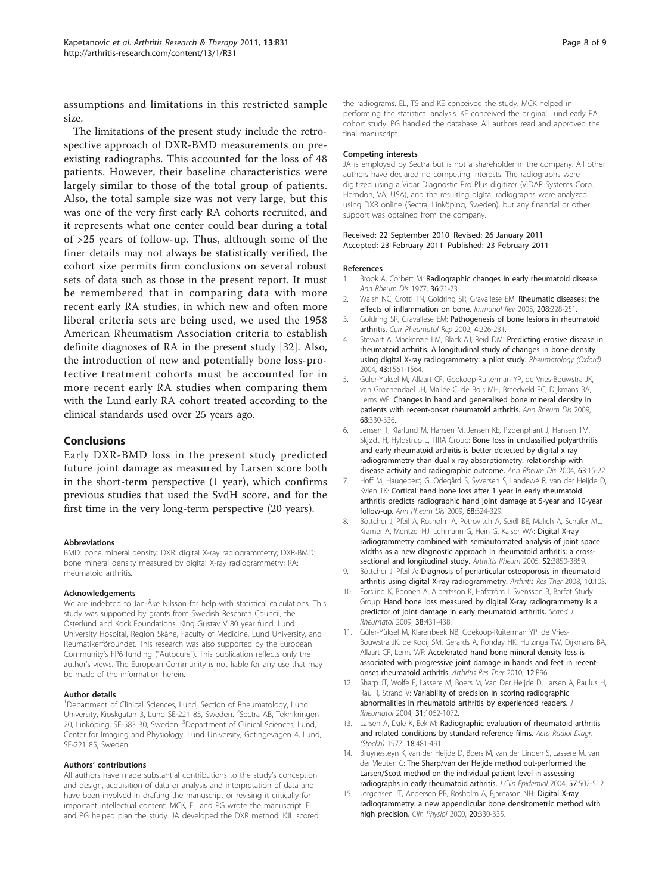<span id="page-7-0"></span>assumptions and limitations in this restricted sample size.

The limitations of the present study include the retrospective approach of DXR-BMD measurements on preexisting radiographs. This accounted for the loss of 48 patients. However, their baseline characteristics were largely similar to those of the total group of patients. Also, the total sample size was not very large, but this was one of the very first early RA cohorts recruited, and it represents what one center could bear during a total of >25 years of follow-up. Thus, although some of the finer details may not always be statistically verified, the cohort size permits firm conclusions on several robust sets of data such as those in the present report. It must be remembered that in comparing data with more recent early RA studies, in which new and often more liberal criteria sets are being used, we used the 1958 American Rheumatism Association criteria to establish definite diagnoses of RA in the present study [\[32](#page-8-0)]. Also, the introduction of new and potentially bone loss-protective treatment cohorts must be accounted for in more recent early RA studies when comparing them with the Lund early RA cohort treated according to the clinical standards used over 25 years ago.

#### **Conclusions**

Early DXR-BMD loss in the present study predicted future joint damage as measured by Larsen score both in the short-term perspective (1 year), which confirms previous studies that used the SvdH score, and for the first time in the very long-term perspective (20 years).

#### Abbreviations

BMD: bone mineral density; DXR: digital X-ray radiogrammetry; DXR-BMD: bone mineral density measured by digital X-ray radiogrammetry; RA: rheumatoid arthritis.

#### Acknowledgements

We are indebted to Jan-Åke Nilsson for help with statistical calculations. This study was supported by grants from Swedish Research Council, the Österlund and Kock Foundations, King Gustav V 80 year fund, Lund University Hospital, Region Skåne, Faculty of Medicine, Lund University, and Reumatikerförbundet. This research was also supported by the European Community's FP6 funding ("Autocure"). This publication reflects only the author's views. The European Community is not liable for any use that may be made of the information herein.

#### Author details

<sup>1</sup>Department of Clinical Sciences, Lund, Section of Rheumatology, Lund University, Kioskgatan 3, Lund SE-221 85, Sweden. <sup>2</sup>Sectra AB, Teknikringen 20, Linköping, SE-583 30, Sweden. <sup>3</sup>Department of Clinical Sciences, Lund, Center for Imaging and Physiology, Lund University, Getingevägen 4, Lund, SE-221 85, Sweden.

#### Authors' contributions

All authors have made substantial contributions to the study's conception and design, acquisition of data or analysis and interpretation of data and have been involved in drafting the manuscript or revising it critically for important intellectual content. MCK, EL and PG wrote the manuscript. EL and PG helped plan the study. JA developed the DXR method. KJL scored

#### Competing interests

JA is employed by Sectra but is not a shareholder in the company. All other authors have declared no competing interests. The radiographs were digitized using a Vidar Diagnostic Pro Plus digitizer (VIDAR Systems Corp., Herndon, VA, USA), and the resulting digital radiographs were analyzed using DXR online (Sectra, Linköping, Sweden), but any financial or other support was obtained from the company.

#### Received: 22 September 2010 Revised: 26 January 2011 Accepted: 23 February 2011 Published: 23 February 2011

#### References

- 1. Brook A, Corbett M: [Radiographic changes in early rheumatoid disease.](http://www.ncbi.nlm.nih.gov/pubmed/843114?dopt=Abstract) Ann Rheum Dis 1977, 36:71-73.
- 2. Walsh NC, Crotti TN, Goldring SR, Gravallese EM: [Rheumatic diseases: the](http://www.ncbi.nlm.nih.gov/pubmed/16313352?dopt=Abstract) [effects of inflammation on bone.](http://www.ncbi.nlm.nih.gov/pubmed/16313352?dopt=Abstract) Immunol Rev 2005, 208:228-251.
- 3. Goldring SR, Gravallese EM: [Pathogenesis of bone lesions in rheumatoid](http://www.ncbi.nlm.nih.gov/pubmed/12010607?dopt=Abstract) [arthritis.](http://www.ncbi.nlm.nih.gov/pubmed/12010607?dopt=Abstract) Curr Rheumatol Rep 2002, 4:226-231.
- Stewart A, Mackenzie LM, Black AJ, Reid DM: [Predicting erosive disease in](http://www.ncbi.nlm.nih.gov/pubmed/15328427?dopt=Abstract) [rheumatoid arthritis. A longitudinal study of changes in bone density](http://www.ncbi.nlm.nih.gov/pubmed/15328427?dopt=Abstract) [using digital X-ray radiogrammetry: a pilot study.](http://www.ncbi.nlm.nih.gov/pubmed/15328427?dopt=Abstract) Rheumatology (Oxford) 2004, 43:1561-1564.
- 5. Güler-Yüksel M, Allaart CF, Goekoop-Ruiterman YP, de Vries-Bouwstra JK, van Groenendael JH, Mallée C, de Bois MH, Breedveld FC, Dijkmans BA, Lems WF: [Changes in hand and generalised bone mineral density in](http://www.ncbi.nlm.nih.gov/pubmed/18375540?dopt=Abstract) [patients with recent-onset rheumatoid arthritis.](http://www.ncbi.nlm.nih.gov/pubmed/18375540?dopt=Abstract) Ann Rheum Dis 2009, 68:330-336.
- 6. Jensen T, Klarlund M, Hansen M, Jensen KE, Pødenphant J, Hansen TM, Skjødt H, Hyldstrup L, TIRA Group: [Bone loss in unclassified polyarthritis](http://www.ncbi.nlm.nih.gov/pubmed/14672886?dopt=Abstract) [and early rheumatoid arthritis is better detected by digital x ray](http://www.ncbi.nlm.nih.gov/pubmed/14672886?dopt=Abstract) [radiogrammetry than dual x ray absorptiometry: relationship with](http://www.ncbi.nlm.nih.gov/pubmed/14672886?dopt=Abstract) [disease activity and radiographic outcome.](http://www.ncbi.nlm.nih.gov/pubmed/14672886?dopt=Abstract) Ann Rheum Dis 2004, 63:15-22.
- 7. Hoff M, Haugeberg G, Odegård S, Syversen S, Landewé R, van der Heijde D, Kvien TK: [Cortical hand bone loss after 1 year in early rheumatoid](http://www.ncbi.nlm.nih.gov/pubmed/18339664?dopt=Abstract) [arthritis predicts radiographic hand joint damage at 5-year and 10-year](http://www.ncbi.nlm.nih.gov/pubmed/18339664?dopt=Abstract) [follow-up.](http://www.ncbi.nlm.nih.gov/pubmed/18339664?dopt=Abstract) Ann Rheum Dis 2009, 68:324-329.
- 8. Böttcher J, Pfeil A, Rosholm A, Petrovitch A, Seidl BE, Malich A, Schäfer ML, Kramer A, Mentzel HJ, Lehmann G, Hein G, Kaiser WA: [Digital X-ray](http://www.ncbi.nlm.nih.gov/pubmed/16320332?dopt=Abstract) [radiogrammetry combined with semiautomated analysis of joint space](http://www.ncbi.nlm.nih.gov/pubmed/16320332?dopt=Abstract) [widths as a new diagnostic approach in rheumatoid arthritis: a cross](http://www.ncbi.nlm.nih.gov/pubmed/16320332?dopt=Abstract)[sectional and longitudinal study.](http://www.ncbi.nlm.nih.gov/pubmed/16320332?dopt=Abstract) Arthritis Rheum 2005, 52:3850-3859.
- 9. Böttcher J, Pfeil A: [Diagnosis of periarticular osteoporosis in rheumatoid](http://www.ncbi.nlm.nih.gov/pubmed/18254923?dopt=Abstract) [arthritis using digital X-ray radiogrammetry.](http://www.ncbi.nlm.nih.gov/pubmed/18254923?dopt=Abstract) Arthritis Res Ther 2008, 10:103.
- 10. Forslind K, Boonen A, Albertsson K, Hafström I, Svensson B, Barfot Study Group: [Hand bone loss measured by digital X-ray radiogrammetry is a](http://www.ncbi.nlm.nih.gov/pubmed/19922017?dopt=Abstract) [predictor of joint damage in early rheumatoid arthritis.](http://www.ncbi.nlm.nih.gov/pubmed/19922017?dopt=Abstract) Scand J Rheumatol 2009, 38:431-438.
- 11. Güler-Yüksel M, Klarenbeek NB, Goekoop-Ruiterman YP, de Vries-Bouwstra JK, de Kooij SM, Gerards A, Ronday HK, Huizinga TW, Dijkmans BA, Allaart CF, Lems WF: [Accelerated hand bone mineral density loss is](http://www.ncbi.nlm.nih.gov/pubmed/20482894?dopt=Abstract) [associated with progressive joint damage in hands and feet in recent](http://www.ncbi.nlm.nih.gov/pubmed/20482894?dopt=Abstract)[onset rheumatoid arthritis.](http://www.ncbi.nlm.nih.gov/pubmed/20482894?dopt=Abstract) Arthritis Res Ther 2010, 12:R96.
- 12. Sharp JT, Wolfe F, Lassere M, Boers M, Van Der Heijde D, Larsen A, Paulus H, Rau R, Strand V: [Variability of precision in scoring radiographic](http://www.ncbi.nlm.nih.gov/pubmed/15170916?dopt=Abstract) [abnormalities in rheumatoid arthritis by experienced readers.](http://www.ncbi.nlm.nih.gov/pubmed/15170916?dopt=Abstract) J Rheumatol 2004, 31:1062-1072.
- 13. Larsen A, Dale K, Eek M: [Radiographic evaluation of rheumatoid arthritis](http://www.ncbi.nlm.nih.gov/pubmed/920239?dopt=Abstract) [and related conditions by standard reference films.](http://www.ncbi.nlm.nih.gov/pubmed/920239?dopt=Abstract) Acta Radiol Diagn (Stockh) 1977, 18:481-491.
- 14. Bruynesteyn K, van der Heijde D, Boers M, van der Linden S, Lassere M, van der Vleuten C: [The Sharp/van der Heijde method out-performed the](http://www.ncbi.nlm.nih.gov/pubmed/15196621?dopt=Abstract) [Larsen/Scott method on the individual patient level in assessing](http://www.ncbi.nlm.nih.gov/pubmed/15196621?dopt=Abstract) [radiographs in early rheumatoid arthritis.](http://www.ncbi.nlm.nih.gov/pubmed/15196621?dopt=Abstract) J Clin Epidemiol 2004, 57:502-512.
- 15. Jorgensen JT, Andersen PB, Rosholm A, Bjarnason NH: [Digital X-ray](http://www.ncbi.nlm.nih.gov/pubmed/10971543?dopt=Abstract) [radiogrammetry: a new appendicular bone densitometric method with](http://www.ncbi.nlm.nih.gov/pubmed/10971543?dopt=Abstract) [high precision.](http://www.ncbi.nlm.nih.gov/pubmed/10971543?dopt=Abstract) Clin Physiol 2000, 20:330-335.